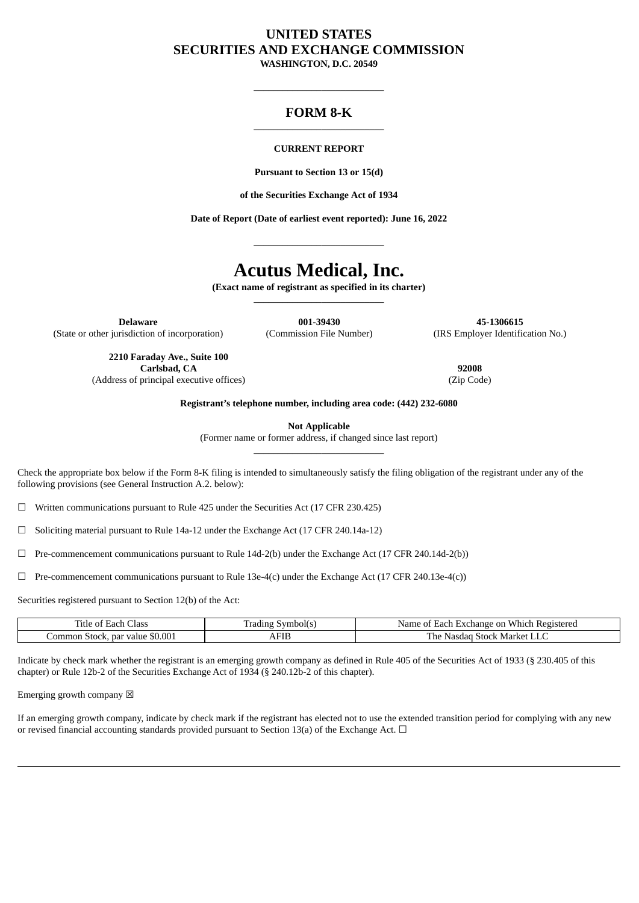# **UNITED STATES SECURITIES AND EXCHANGE COMMISSION WASHINGTON, D.C. 20549**

 $\_$ 

# **FORM 8-K** \_\_\_\_\_\_\_\_\_\_\_\_\_\_\_\_\_\_\_\_\_\_\_\_\_\_\_

## **CURRENT REPORT**

**Pursuant to Section 13 or 15(d)**

**of the Securities Exchange Act of 1934**

**Date of Report (Date of earliest event reported): June 16, 2022**

\_\_\_\_\_\_\_\_\_\_\_\_\_\_\_\_\_\_\_\_\_\_\_\_\_\_\_

# **Acutus Medical, Inc.**

**(Exact name of registrant as specified in its charter)**  $\_$ 

**Delaware 001-39430 45-1306615** (State or other jurisdiction of incorporation) (Commission File Number) (IRS Employer Identification No.)

**2210 Faraday Ave., Suite 100 Carlsbad, CA 92008** (Address of principal executive offices) (Zip Code)

**Registrant's telephone number, including area code: (442) 232-6080**

**Not Applicable**

(Former name or former address, if changed since last report)  $\_$ 

Check the appropriate box below if the Form 8-K filing is intended to simultaneously satisfy the filing obligation of the registrant under any of the following provisions (see General Instruction A.2. below):

 $\Box$  Written communications pursuant to Rule 425 under the Securities Act (17 CFR 230.425)

☐ Soliciting material pursuant to Rule 14a-12 under the Exchange Act (17 CFR 240.14a-12)

 $\Box$  Pre-commencement communications pursuant to Rule 14d-2(b) under the Exchange Act (17 CFR 240.14d-2(b))

 $\Box$  Pre-commencement communications pursuant to Rule 13e-4(c) under the Exchange Act (17 CFR 240.13e-4(c))

Securities registered pursuant to Section 12(b) of the Act:

| -<br>Ulass<br>och<br>'itie                   | symbol(s<br>-radıng i | -Each<br>: Registered<br>. Exchange on<br>Name<br>Whicl<br>$\sim$ |
|----------------------------------------------|-----------------------|-------------------------------------------------------------------|
| \$0.001<br>. par value<br>-ommon '<br>Stock. | ΔН<br>1 F I E         | The<br>: Market LLC<br>Nasdac<br>Stock.                           |

Indicate by check mark whether the registrant is an emerging growth company as defined in Rule 405 of the Securities Act of 1933 (§ 230.405 of this chapter) or Rule 12b-2 of the Securities Exchange Act of 1934 (§ 240.12b-2 of this chapter).

Emerging growth company  $\boxtimes$ 

If an emerging growth company, indicate by check mark if the registrant has elected not to use the extended transition period for complying with any new or revised financial accounting standards provided pursuant to Section 13(a) of the Exchange Act.  $\Box$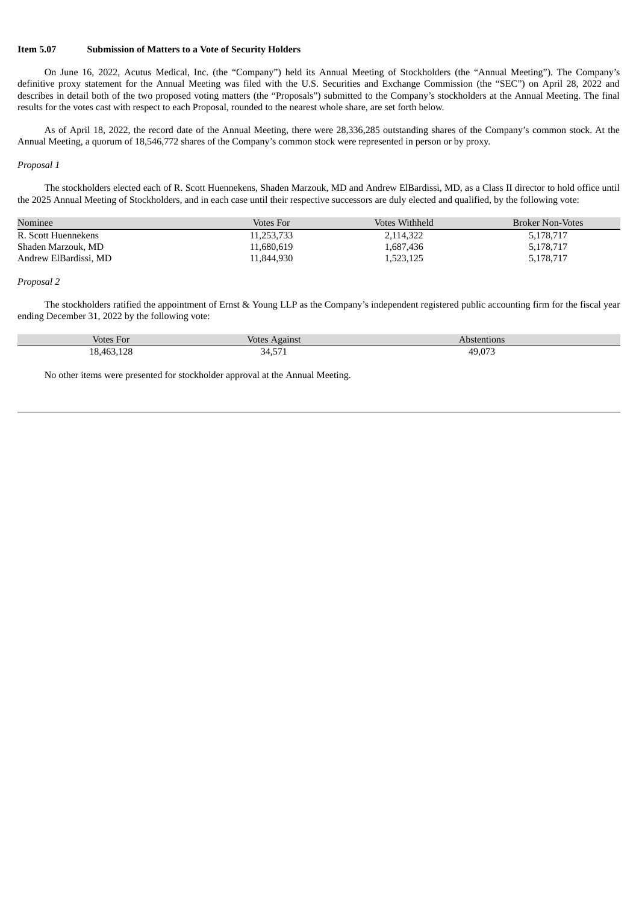## **Item 5.07 Submission of Matters to a Vote of Security Holders**

On June 16, 2022, Acutus Medical, Inc. (the "Company") held its Annual Meeting of Stockholders (the "Annual Meeting"). The Company's definitive proxy statement for the Annual Meeting was filed with the U.S. Securities and Exchange Commission (the "SEC") on April 28, 2022 and describes in detail both of the two proposed voting matters (the "Proposals") submitted to the Company's stockholders at the Annual Meeting. The final results for the votes cast with respect to each Proposal, rounded to the nearest whole share, are set forth below.

As of April 18, 2022, the record date of the Annual Meeting, there were 28,336,285 outstanding shares of the Company's common stock. At the Annual Meeting, a quorum of 18,546,772 shares of the Company's common stock were represented in person or by proxy.

#### *Proposal 1*

The stockholders elected each of R. Scott Huennekens, Shaden Marzouk, MD and Andrew ElBardissi, MD, as a Class II director to hold office until the 2025 Annual Meeting of Stockholders, and in each case until their respective successors are duly elected and qualified, by the following vote:

| Nominee               | Votes For  | Votes Withheld | <b>Broker Non-Votes</b> |
|-----------------------|------------|----------------|-------------------------|
| R. Scott Huennekens   | 11,253,733 | 2,114,322      | 5,178,717               |
| Shaden Marzouk, MD    | 11,680,619 | 1,687,436      | 5,178,717               |
| Andrew ElBardissi, MD | 11.844.930 | 1,523,125      | 5,178,717               |

### *Proposal 2*

The stockholders ratified the appointment of Ernst & Young LLP as the Company's independent registered public accounting firm for the fiscal year ending December 31, 2022 by the following vote:

| Votes For  | T<br>Against<br><b>Votes</b> | Abstentions             |
|------------|------------------------------|-------------------------|
| 18,463,128 | $  -$<br>34,57T              | $19.07^\circ$<br>19.U/J |

No other items were presented for stockholder approval at the Annual Meeting.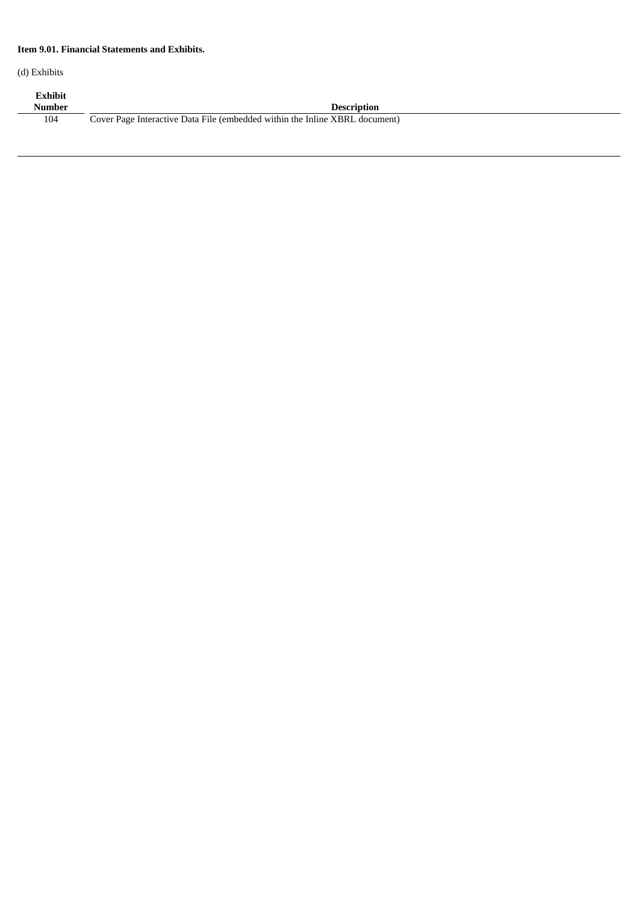## **Item 9.01. Financial Statements and Exhibits.**

(d) Exhibits

| Exhibit<br>Number | <b>Description</b>                                                          |
|-------------------|-----------------------------------------------------------------------------|
| 104               | Cover Page Interactive Data File (embedded within the Inline XBRL document) |